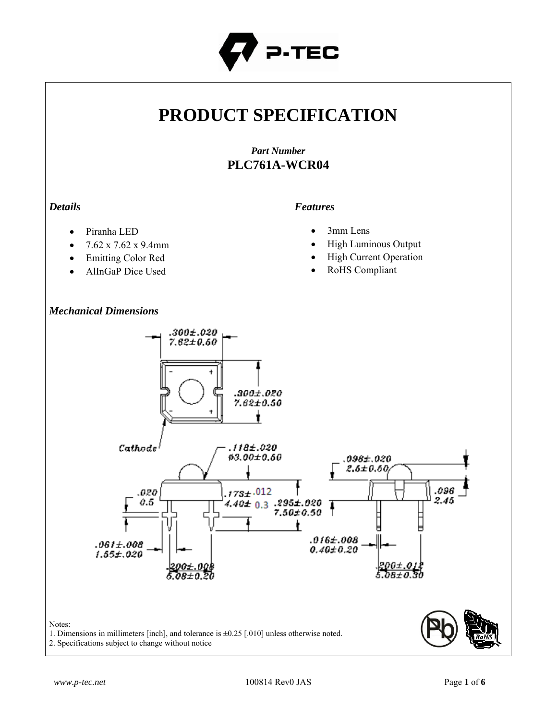

# **PRODUCT SPECIFICATION**

# *Part Number* **PLC761A-WCR04**

## *Details*

#### *Features*

- Piranha LED
- $7.62 \times 7.62 \times 9.4 \text{mm}$
- Emitting Color Red
- AlInGaP Dice Used

## *Mechanical Dimensions*

- 3mm Lens
- High Luminous Output
- High Current Operation
- RoHS Compliant



1. Dimensions in millimeters [inch], and tolerance is ±0.25 [.010] unless otherwise noted.

2. Specifications subject to change without notice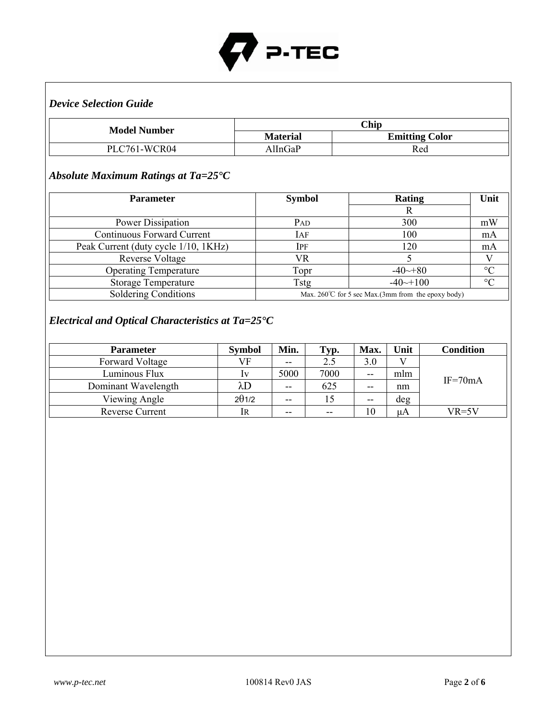

# *Device Selection Guide*

| <b>Model Number</b> | Chip            |                       |  |
|---------------------|-----------------|-----------------------|--|
|                     | <b>Material</b> | <b>Emitting Color</b> |  |
| PLC761-WCR04        | AllnGaP         | Red                   |  |

# *Absolute Maximum Ratings at Ta=25°C*

| <b>Parameter</b>                     | <b>Symbol</b>   | Rating                                                        | Unit            |
|--------------------------------------|-----------------|---------------------------------------------------------------|-----------------|
|                                      |                 |                                                               |                 |
| <b>Power Dissipation</b>             | P <sub>AD</sub> | 300                                                           | mW              |
| <b>Continuous Forward Current</b>    | IAF             | 100                                                           | mA              |
| Peak Current (duty cycle 1/10, 1KHz) | Ipf             | 120                                                           | mA              |
| <b>Reverse Voltage</b>               | VR              |                                                               |                 |
| <b>Operating Temperature</b>         | Topr            | $-40 \rightarrow 80$                                          | $\rm ^{\circ}C$ |
| <b>Storage Temperature</b>           | Tstg            | $-40$ $-100$                                                  | $\rm ^{\circ}C$ |
| Soldering Conditions                 |                 | Max. $260^{\circ}$ C for 5 sec Max. (3mm from the epoxy body) |                 |

# *Electrical and Optical Characteristics at Ta=25°C*

| <b>Parameter</b>       | <b>Symbol</b> | Min.  | Гур.  | Max. | Unit | Condition   |
|------------------------|---------------|-------|-------|------|------|-------------|
| Forward Voltage        | VF            | $- -$ | 2.5   | 3.0  |      |             |
| Luminous Flux          | Iv            | 5000  | 7000  | --   | mlm  |             |
| Dominant Wavelength    | λD            | $- -$ | 625   | $-$  | nm   | $IF = 70mA$ |
| Viewing Angle          | $2\theta$ 1/2 | $-$   |       | $-$  | deg  |             |
| <b>Reverse Current</b> | IR            | $- -$ | $- -$ | 10   | μA   | $VR=5V$     |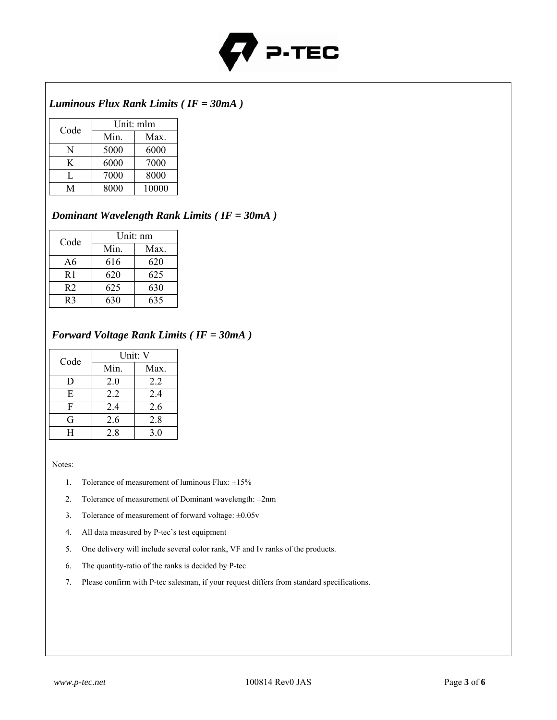

# *Luminous Flux Rank Limits ( IF = 30mA )*

| Code | Unit: mlm |       |  |
|------|-----------|-------|--|
|      | Min.      | Max.  |  |
| N    | 5000      | 6000  |  |
| K    | 6000      | 7000  |  |
| L    | 7000      | 8000  |  |
| M    | 8000      | 10000 |  |

#### *Dominant Wavelength Rank Limits ( IF = 30mA )*

| Code           | Unit: nm |      |  |
|----------------|----------|------|--|
|                | Min.     | Max. |  |
| A6             | 616      | 620  |  |
| R <sub>1</sub> | 620      | 625  |  |
| R <sub>2</sub> | 625      | 630  |  |
| R٩             | 630      | 635  |  |

#### *Forward Voltage Rank Limits ( IF = 30mA )*

| Code | Unit: V |      |  |
|------|---------|------|--|
|      | Min.    | Max. |  |
| D    | 2.0     | 2.2  |  |
| E    | 2.2     | 2.4  |  |
| F    | 2.4     | 2.6  |  |
| G    | 2.6     | 2.8  |  |
| H    | 2.8     | 3.0  |  |

Notes:

- 1. Tolerance of measurement of luminous Flux:  $\pm 15\%$
- 2. Tolerance of measurement of Dominant wavelength: ±2nm
- 3. Tolerance of measurement of forward voltage: ±0.05v
- 4. All data measured by P-tec's test equipment
- 5. One delivery will include several color rank, VF and Iv ranks of the products.
- 6. The quantity-ratio of the ranks is decided by P-tec
- 7. Please confirm with P-tec salesman, if your request differs from standard specifications.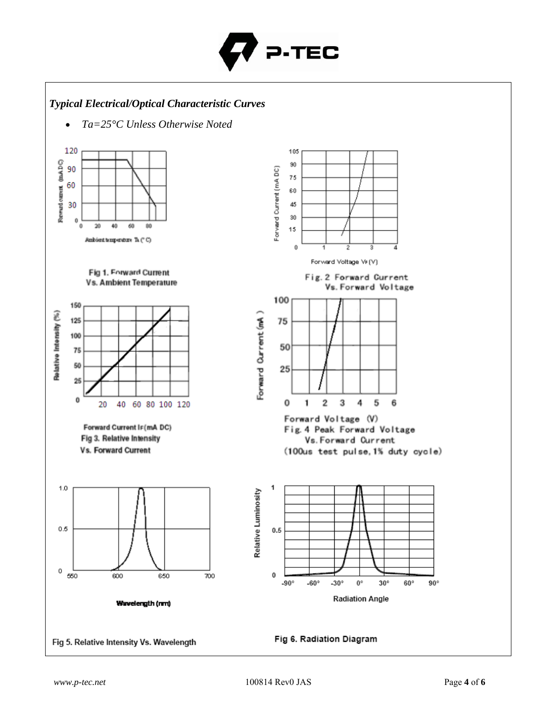

## *Typical Electrical/Optical Characteristic Curves*

• *Ta=25°C Unless Otherwise Noted*

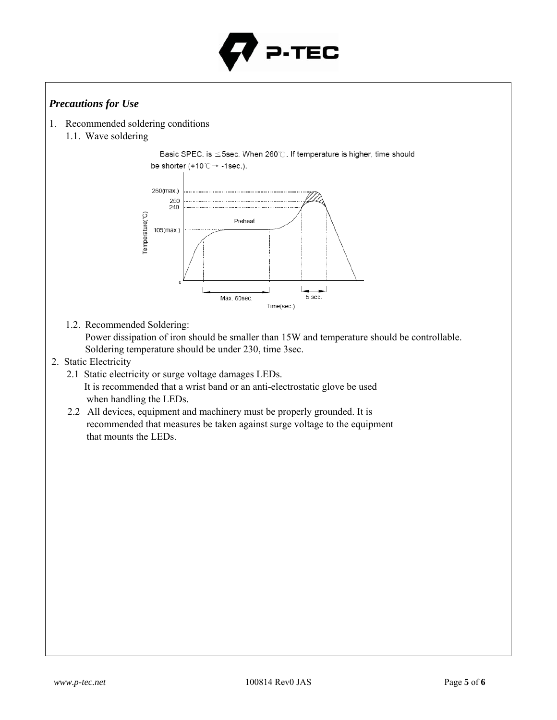

## *Precautions for Use*

- 1. Recommended soldering conditions
	- 1.1. Wave soldering

Basic SPEC. is ≤5sec. When 260℃. If temperature is higher, time should be shorter (+10 $\degree$ C  $\rightarrow$  -1sec.).



1.2. Recommended Soldering:

Power dissipation of iron should be smaller than 15W and temperature should be controllable. Soldering temperature should be under 230, time 3sec.

- 2. Static Electricity
	- 2.1 Static electricity or surge voltage damages LEDs. It is recommended that a wrist band or an anti-electrostatic glove be used when handling the LEDs.
	- 2.2 All devices, equipment and machinery must be properly grounded. It is recommended that measures be taken against surge voltage to the equipment that mounts the LEDs.